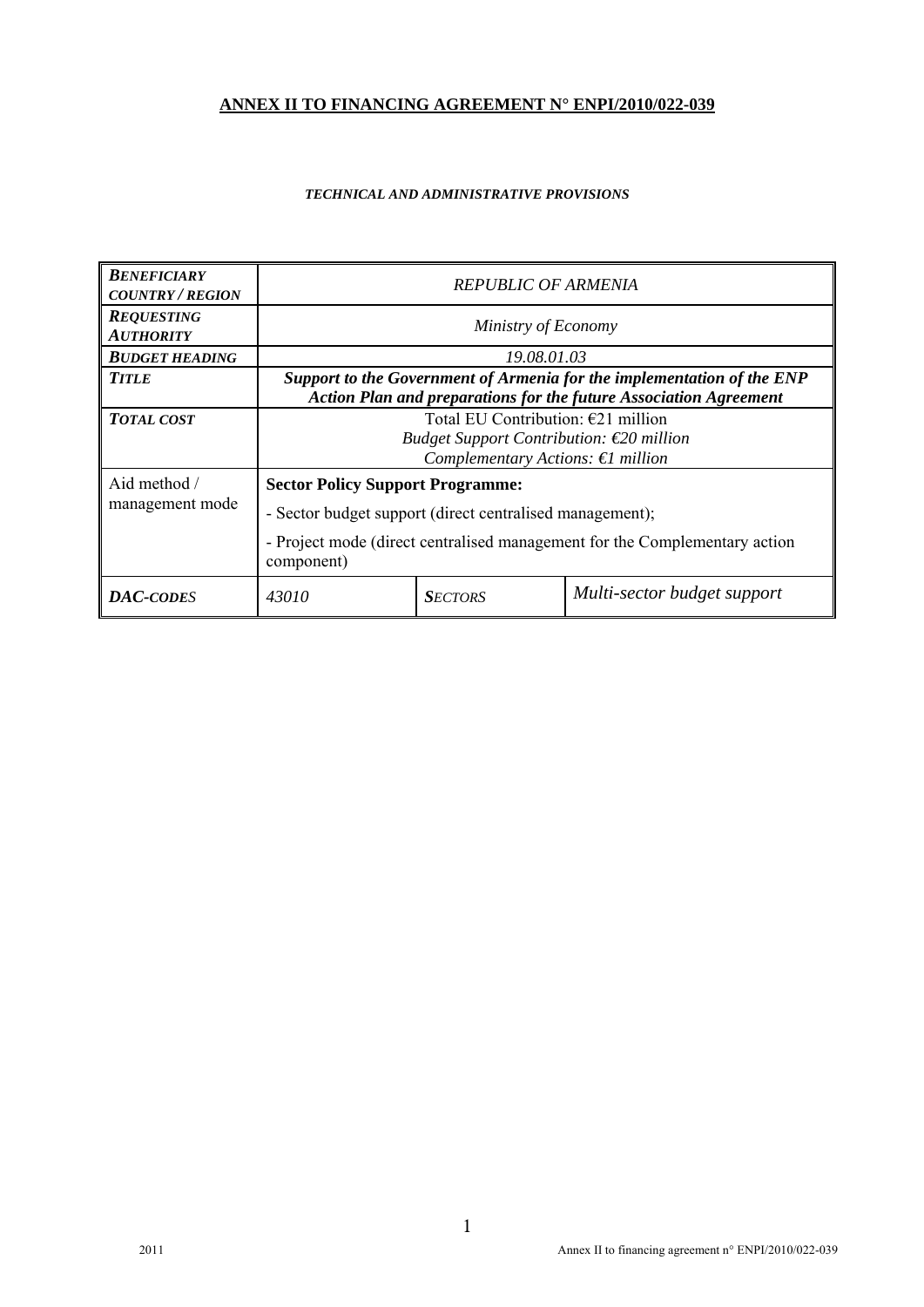# **ANNEX II TO FINANCING AGREEMENT N° ENPI/2010/022-039**

#### *TECHNICAL AND ADMINISTRATIVE PROVISIONS*

| <b>BENEFICIARY</b><br><b>COUNTRY / REGION</b> | <b>REPUBLIC OF ARMENIA</b>                                                                                                                         |                                                                                                                                                                                   |  |  |  |
|-----------------------------------------------|----------------------------------------------------------------------------------------------------------------------------------------------------|-----------------------------------------------------------------------------------------------------------------------------------------------------------------------------------|--|--|--|
| <b>REQUESTING</b><br><b>AUTHORITY</b>         | Ministry of Economy                                                                                                                                |                                                                                                                                                                                   |  |  |  |
| <b>BUDGET HEADING</b>                         |                                                                                                                                                    | 19.08.01.03                                                                                                                                                                       |  |  |  |
| <b>TITLE</b>                                  | Support to the Government of Armenia for the implementation of the ENP<br><b>Action Plan and preparations for the future Association Agreement</b> |                                                                                                                                                                                   |  |  |  |
| <b>TOTAL COST</b>                             | Total EU Contribution: $E21$ million<br>Budget Support Contribution: $\epsilon$ 20 million<br>Complementary Actions: $\epsilon$ l million          |                                                                                                                                                                                   |  |  |  |
| Aid method /<br>management mode               | component)                                                                                                                                         | <b>Sector Policy Support Programme:</b><br>- Sector budget support (direct centralised management);<br>- Project mode (direct centralised management for the Complementary action |  |  |  |
| <b>DAC-CODES</b>                              | 43010                                                                                                                                              | Multi-sector budget support<br><b>SECTORS</b>                                                                                                                                     |  |  |  |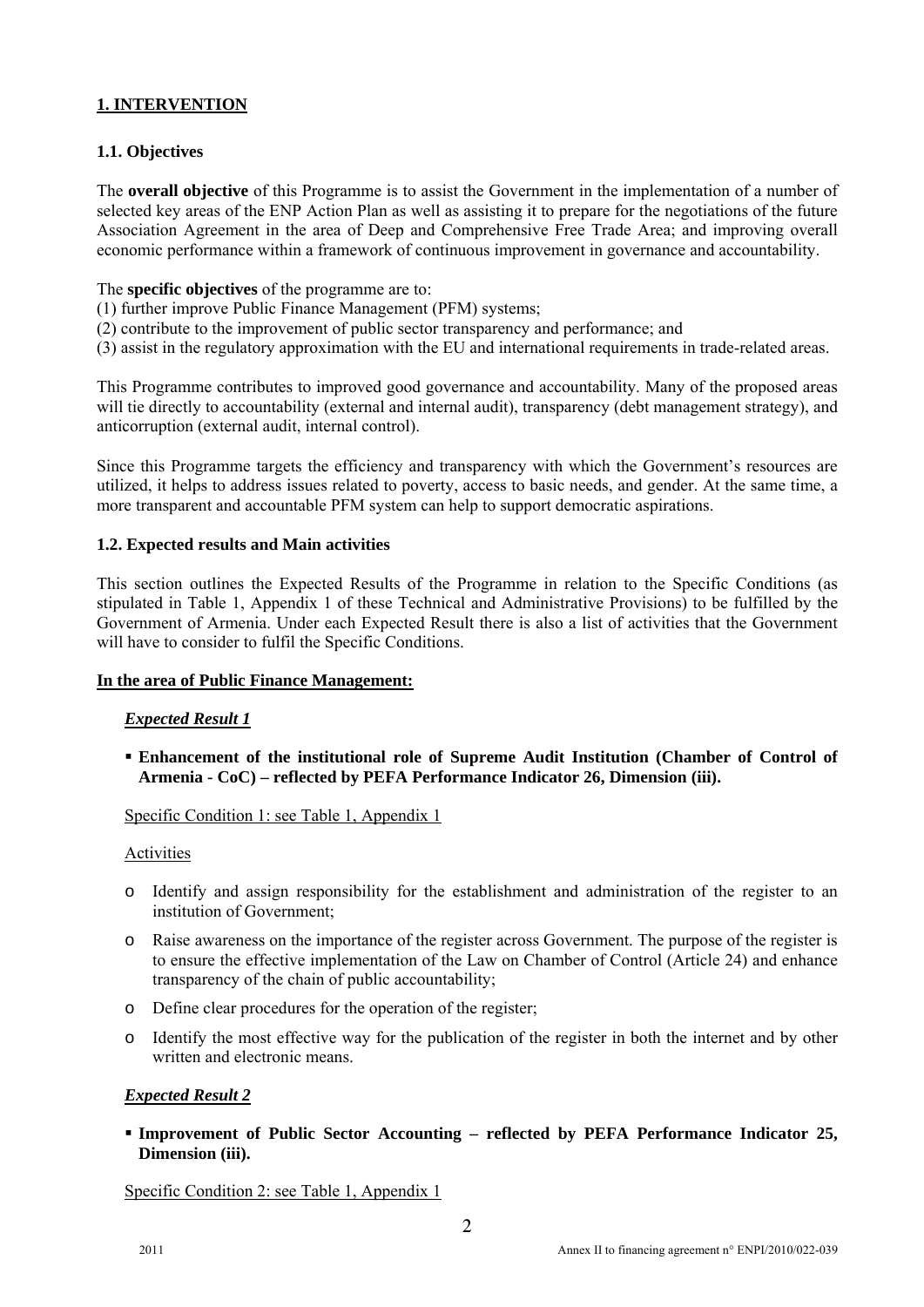## **1. INTERVENTION**

## **1.1. Objectives**

The **overall objective** of this Programme is to assist the Government in the implementation of a number of selected key areas of the ENP Action Plan as well as assisting it to prepare for the negotiations of the future Association Agreement in the area of Deep and Comprehensive Free Trade Area; and improving overall economic performance within a framework of continuous improvement in governance and accountability.

- The **specific objectives** of the programme are to:
- (1) further improve Public Finance Management (PFM) systems;
- (2) contribute to the improvement of public sector transparency and performance; and
- (3) assist in the regulatory approximation with the EU and international requirements in trade-related areas.

This Programme contributes to improved good governance and accountability. Many of the proposed areas will tie directly to accountability (external and internal audit), transparency (debt management strategy), and anticorruption (external audit, internal control).

Since this Programme targets the efficiency and transparency with which the Government's resources are utilized, it helps to address issues related to poverty, access to basic needs, and gender. At the same time, a more transparent and accountable PFM system can help to support democratic aspirations.

#### **1.2. Expected results and Main activities**

This section outlines the Expected Results of the Programme in relation to the Specific Conditions (as stipulated in Table 1, Appendix 1 of these Technical and Administrative Provisions) to be fulfilled by the Government of Armenia. Under each Expected Result there is also a list of activities that the Government will have to consider to fulfil the Specific Conditions.

#### **In the area of Public Finance Management:**

#### *Expected Result 1*

 **Enhancement of the institutional role of Supreme Audit Institution (Chamber of Control of Armenia - CoC) – reflected by PEFA Performance Indicator 26, Dimension (iii).** 

Specific Condition 1: see Table 1, Appendix 1

#### Activities

- o Identify and assign responsibility for the establishment and administration of the register to an institution of Government;
- o Raise awareness on the importance of the register across Government. The purpose of the register is to ensure the effective implementation of the Law on Chamber of Control (Article 24) and enhance transparency of the chain of public accountability;
- o Define clear procedures for the operation of the register;
- o Identify the most effective way for the publication of the register in both the internet and by other written and electronic means.

### *Expected Result 2*

 **Improvement of Public Sector Accounting – reflected by PEFA Performance Indicator 25, Dimension (iii).** 

Specific Condition 2: see Table 1, Appendix 1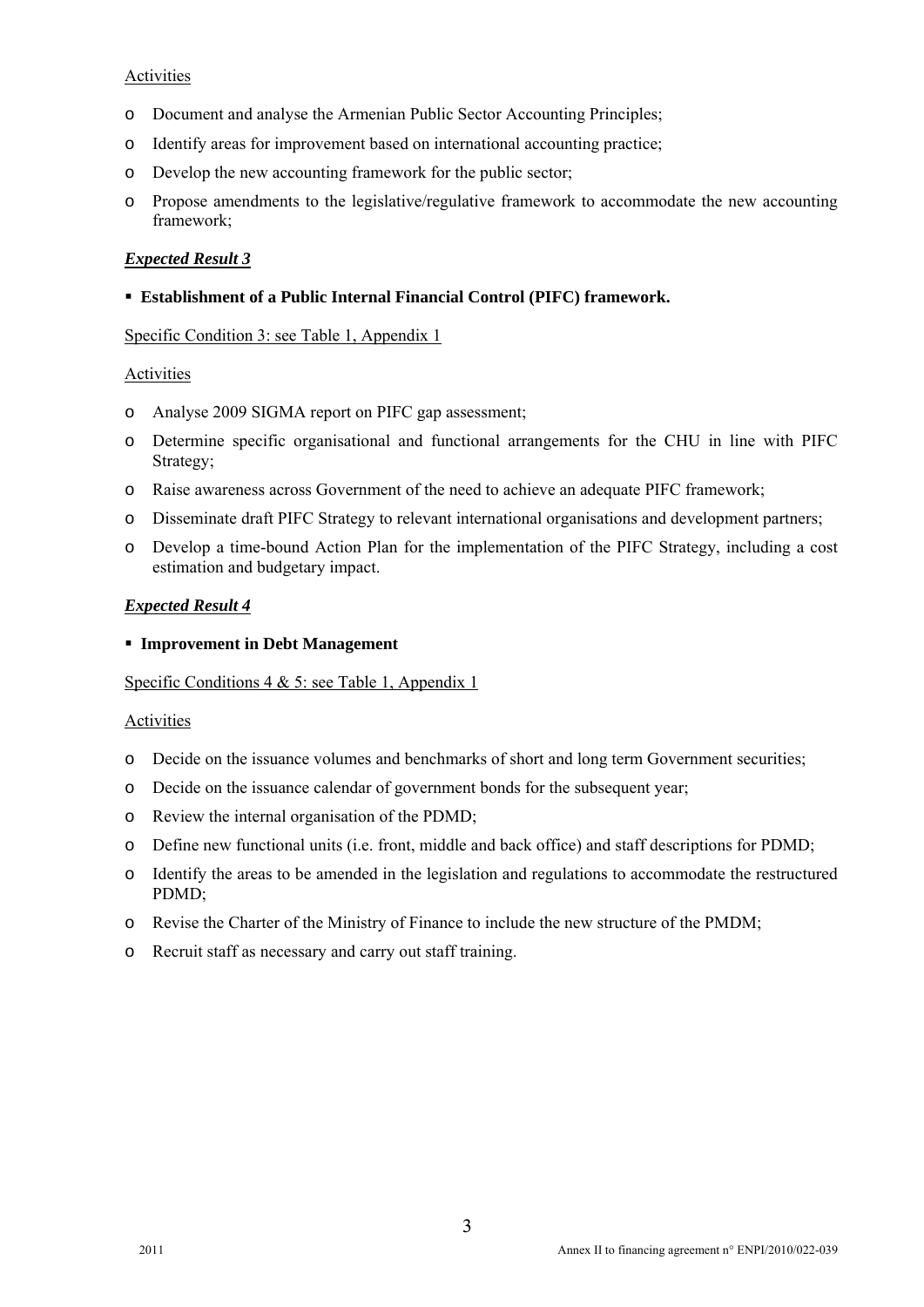## **Activities**

- o Document and analyse the Armenian Public Sector Accounting Principles;
- o Identify areas for improvement based on international accounting practice;
- o Develop the new accounting framework for the public sector;
- o Propose amendments to the legislative/regulative framework to accommodate the new accounting framework;

## *Expected Result 3*

**Establishment of a Public Internal Financial Control (PIFC) framework.** 

## Specific Condition 3: see Table 1, Appendix 1

## Activities

- o Analyse 2009 SIGMA report on PIFC gap assessment;
- o Determine specific organisational and functional arrangements for the CHU in line with PIFC Strategy;
- o Raise awareness across Government of the need to achieve an adequate PIFC framework;
- o Disseminate draft PIFC Strategy to relevant international organisations and development partners;
- o Develop a time-bound Action Plan for the implementation of the PIFC Strategy, including a cost estimation and budgetary impact.

## *Expected Result 4*

**Improvement in Debt Management** 

## Specific Conditions 4 & 5: see Table 1, Appendix 1

## **Activities**

- o Decide on the issuance volumes and benchmarks of short and long term Government securities;
- o Decide on the issuance calendar of government bonds for the subsequent year;
- o Review the internal organisation of the PDMD;
- o Define new functional units (i.e. front, middle and back office) and staff descriptions for PDMD;
- o Identify the areas to be amended in the legislation and regulations to accommodate the restructured PDMD;
- o Revise the Charter of the Ministry of Finance to include the new structure of the PMDM;
- o Recruit staff as necessary and carry out staff training.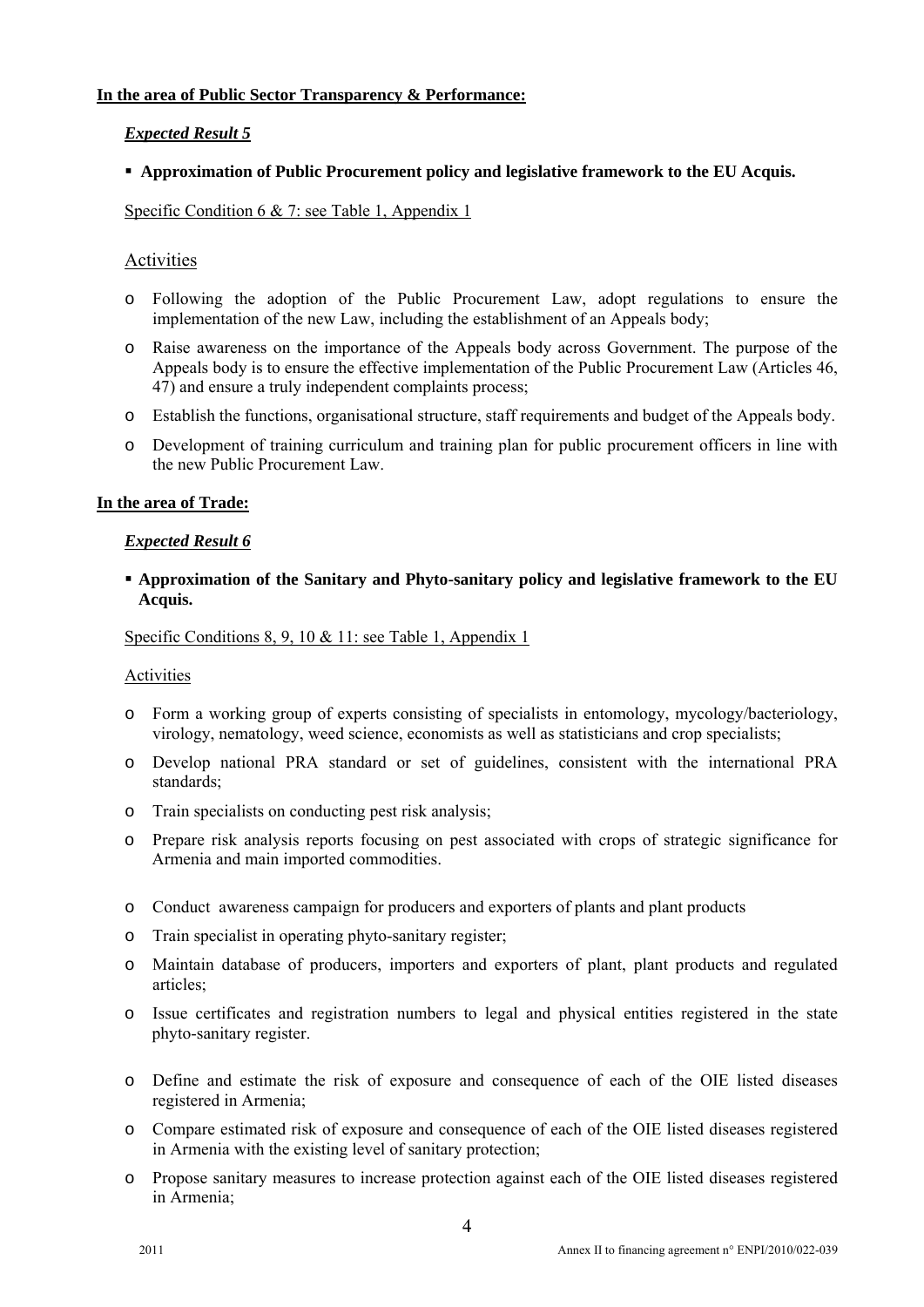## **In the area of Public Sector Transparency & Performance:**

## *Expected Result 5*

## **Approximation of Public Procurement policy and legislative framework to the EU Acquis.**

Specific Condition 6 & 7: see Table 1, Appendix 1

## Activities

- o Following the adoption of the Public Procurement Law, adopt regulations to ensure the implementation of the new Law, including the establishment of an Appeals body;
- o Raise awareness on the importance of the Appeals body across Government. The purpose of the Appeals body is to ensure the effective implementation of the Public Procurement Law (Articles 46, 47) and ensure a truly independent complaints process;
- o Establish the functions, organisational structure, staff requirements and budget of the Appeals body.
- o Development of training curriculum and training plan for public procurement officers in line with the new Public Procurement Law.

## **In the area of Trade:**

#### *Expected Result 6*

## **Approximation of the Sanitary and Phyto-sanitary policy and legislative framework to the EU Acquis.**

## Specific Conditions 8, 9, 10 & 11: see Table 1, Appendix 1

#### Activities

- o Form a working group of experts consisting of specialists in entomology, mycology/bacteriology, virology, nematology, weed science, economists as well as statisticians and crop specialists;
- o Develop national PRA standard or set of guidelines, consistent with the international PRA standards;
- o Train specialists on conducting pest risk analysis;
- o Prepare risk analysis reports focusing on pest associated with crops of strategic significance for Armenia and main imported commodities.
- o Conduct awareness campaign for producers and exporters of plants and plant products
- o Train specialist in operating phyto-sanitary register;
- o Maintain database of producers, importers and exporters of plant, plant products and regulated articles;
- o Issue certificates and registration numbers to legal and physical entities registered in the state phyto-sanitary register.
- o Define and estimate the risk of exposure and consequence of each of the OIE listed diseases registered in Armenia;
- o Compare estimated risk of exposure and consequence of each of the OIE listed diseases registered in Armenia with the existing level of sanitary protection;
- o Propose sanitary measures to increase protection against each of the OIE listed diseases registered in Armenia;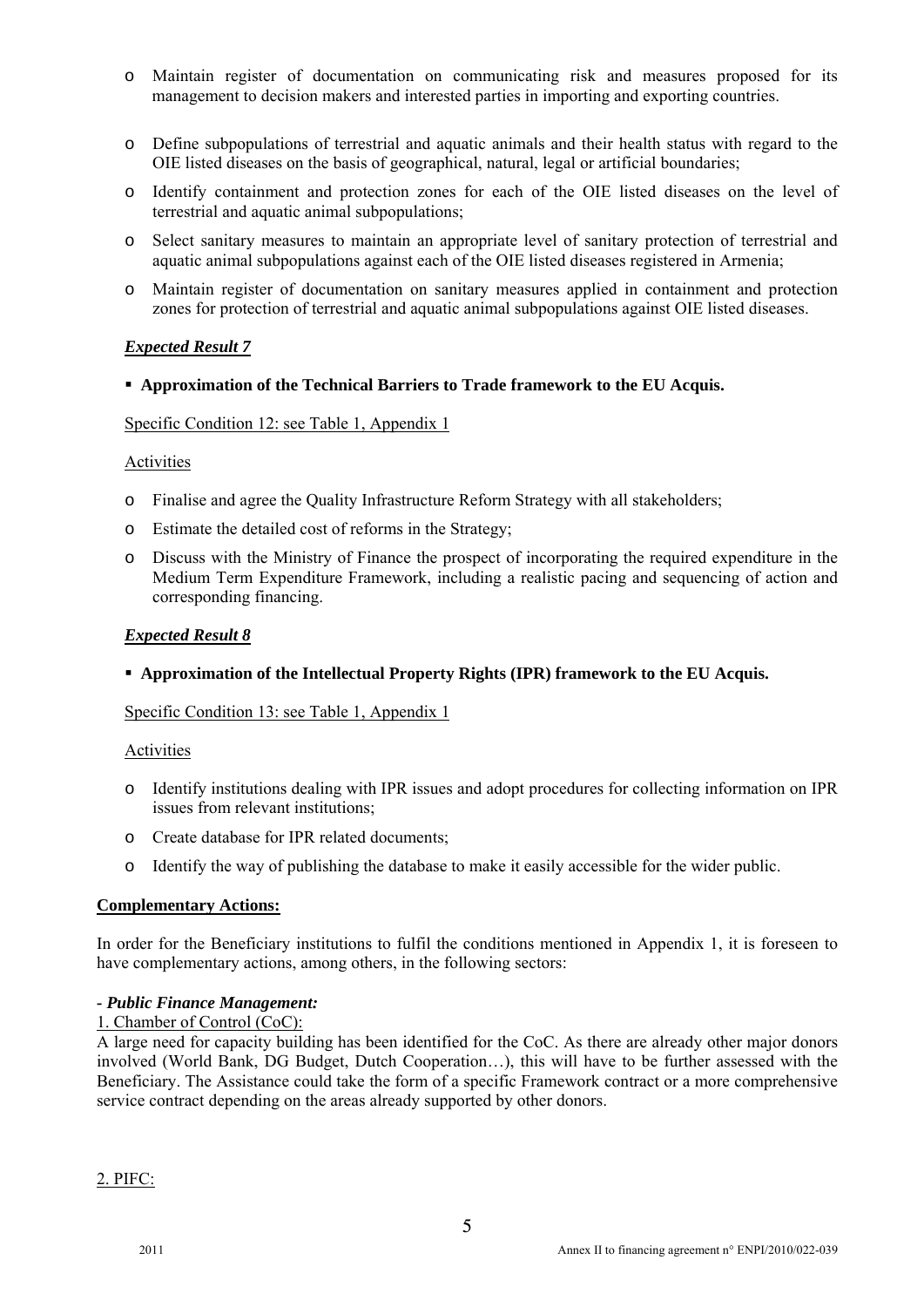- o Maintain register of documentation on communicating risk and measures proposed for its management to decision makers and interested parties in importing and exporting countries.
- o Define subpopulations of terrestrial and aquatic animals and their health status with regard to the OIE listed diseases on the basis of geographical, natural, legal or artificial boundaries;
- o Identify containment and protection zones for each of the OIE listed diseases on the level of terrestrial and aquatic animal subpopulations;
- o Select sanitary measures to maintain an appropriate level of sanitary protection of terrestrial and aquatic animal subpopulations against each of the OIE listed diseases registered in Armenia;
- o Maintain register of documentation on sanitary measures applied in containment and protection zones for protection of terrestrial and aquatic animal subpopulations against OIE listed diseases.

## *Expected Result 7*

#### **Approximation of the Technical Barriers to Trade framework to the EU Acquis.**

#### Specific Condition 12: see Table 1, Appendix 1

#### Activities

- o Finalise and agree the Quality Infrastructure Reform Strategy with all stakeholders;
- o Estimate the detailed cost of reforms in the Strategy;
- o Discuss with the Ministry of Finance the prospect of incorporating the required expenditure in the Medium Term Expenditure Framework, including a realistic pacing and sequencing of action and corresponding financing.

## *Expected Result 8*

#### **Approximation of the Intellectual Property Rights (IPR) framework to the EU Acquis.**

Specific Condition 13: see Table 1, Appendix 1

#### Activities

- o Identify institutions dealing with IPR issues and adopt procedures for collecting information on IPR issues from relevant institutions;
- o Create database for IPR related documents;
- o Identify the way of publishing the database to make it easily accessible for the wider public.

## **Complementary Actions:**

In order for the Beneficiary institutions to fulfil the conditions mentioned in Appendix 1, it is foreseen to have complementary actions, among others, in the following sectors:

#### *- Public Finance Management:*

#### 1. Chamber of Control (CoC):

A large need for capacity building has been identified for the CoC. As there are already other major donors involved (World Bank, DG Budget, Dutch Cooperation…), this will have to be further assessed with the Beneficiary. The Assistance could take the form of a specific Framework contract or a more comprehensive service contract depending on the areas already supported by other donors.

2. PIFC: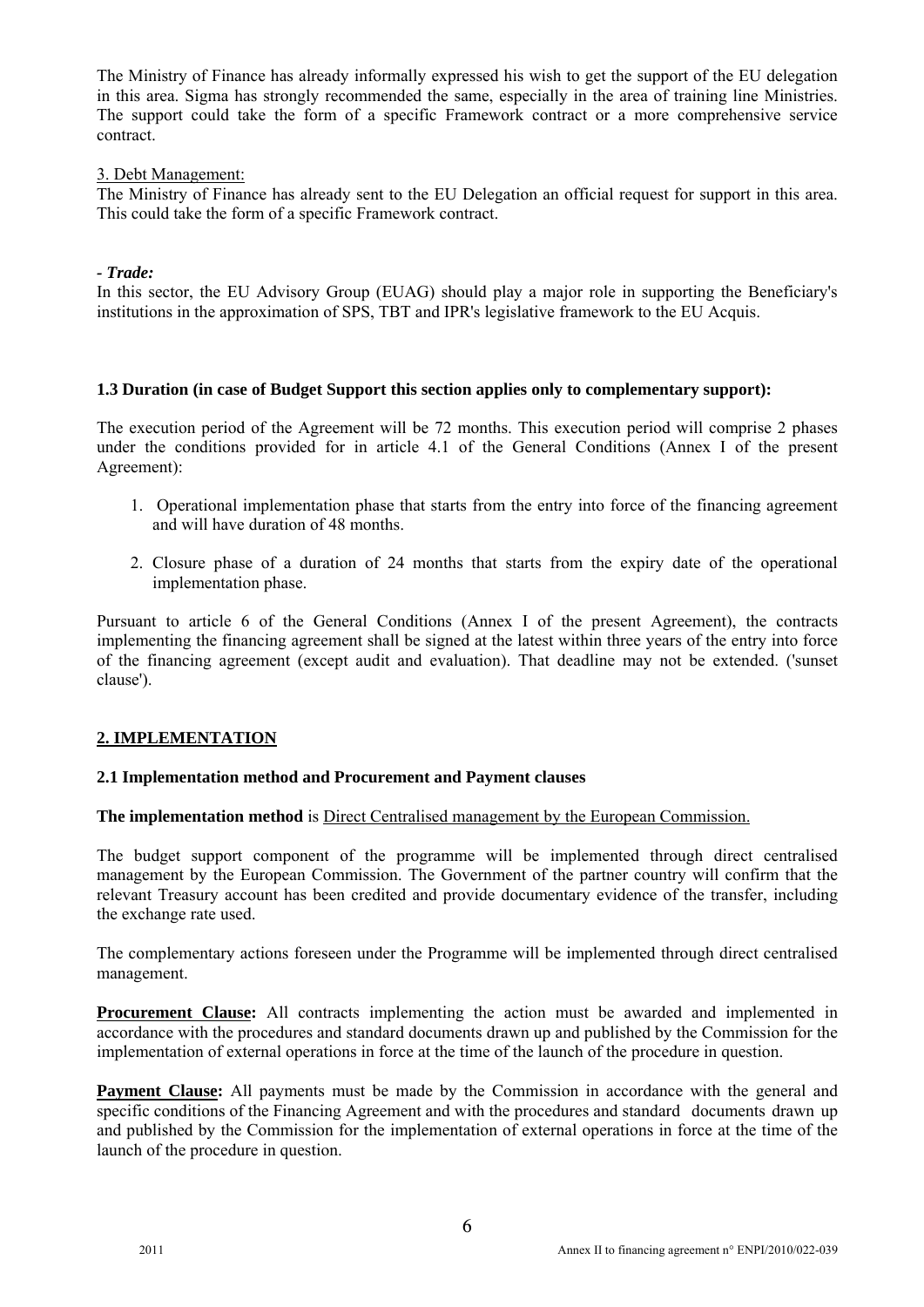The Ministry of Finance has already informally expressed his wish to get the support of the EU delegation in this area. Sigma has strongly recommended the same, especially in the area of training line Ministries. The support could take the form of a specific Framework contract or a more comprehensive service contract.

### 3. Debt Management:

The Ministry of Finance has already sent to the EU Delegation an official request for support in this area. This could take the form of a specific Framework contract.

## *- Trade:*

In this sector, the EU Advisory Group (EUAG) should play a major role in supporting the Beneficiary's institutions in the approximation of SPS, TBT and IPR's legislative framework to the EU Acquis.

## **1.3 Duration (in case of Budget Support this section applies only to complementary support):**

The execution period of the Agreement will be 72 months. This execution period will comprise 2 phases under the conditions provided for in article 4.1 of the General Conditions (Annex I of the present Agreement):

- 1. Operational implementation phase that starts from the entry into force of the financing agreement and will have duration of 48 months.
- 2. Closure phase of a duration of 24 months that starts from the expiry date of the operational implementation phase.

Pursuant to article 6 of the General Conditions (Annex I of the present Agreement), the contracts implementing the financing agreement shall be signed at the latest within three years of the entry into force of the financing agreement (except audit and evaluation). That deadline may not be extended. ('sunset clause').

## **2. IMPLEMENTATION**

#### **2.1 Implementation method and Procurement and Payment clauses**

#### **The implementation method** is Direct Centralised management by the European Commission.

The budget support component of the programme will be implemented through direct centralised management by the European Commission. The Government of the partner country will confirm that the relevant Treasury account has been credited and provide documentary evidence of the transfer, including the exchange rate used.

The complementary actions foreseen under the Programme will be implemented through direct centralised management.

**Procurement Clause:** All contracts implementing the action must be awarded and implemented in accordance with the procedures and standard documents drawn up and published by the Commission for the implementation of external operations in force at the time of the launch of the procedure in question.

**Payment Clause:** All payments must be made by the Commission in accordance with the general and specific conditions of the Financing Agreement and with the procedures and standard documents drawn up and published by the Commission for the implementation of external operations in force at the time of the launch of the procedure in question.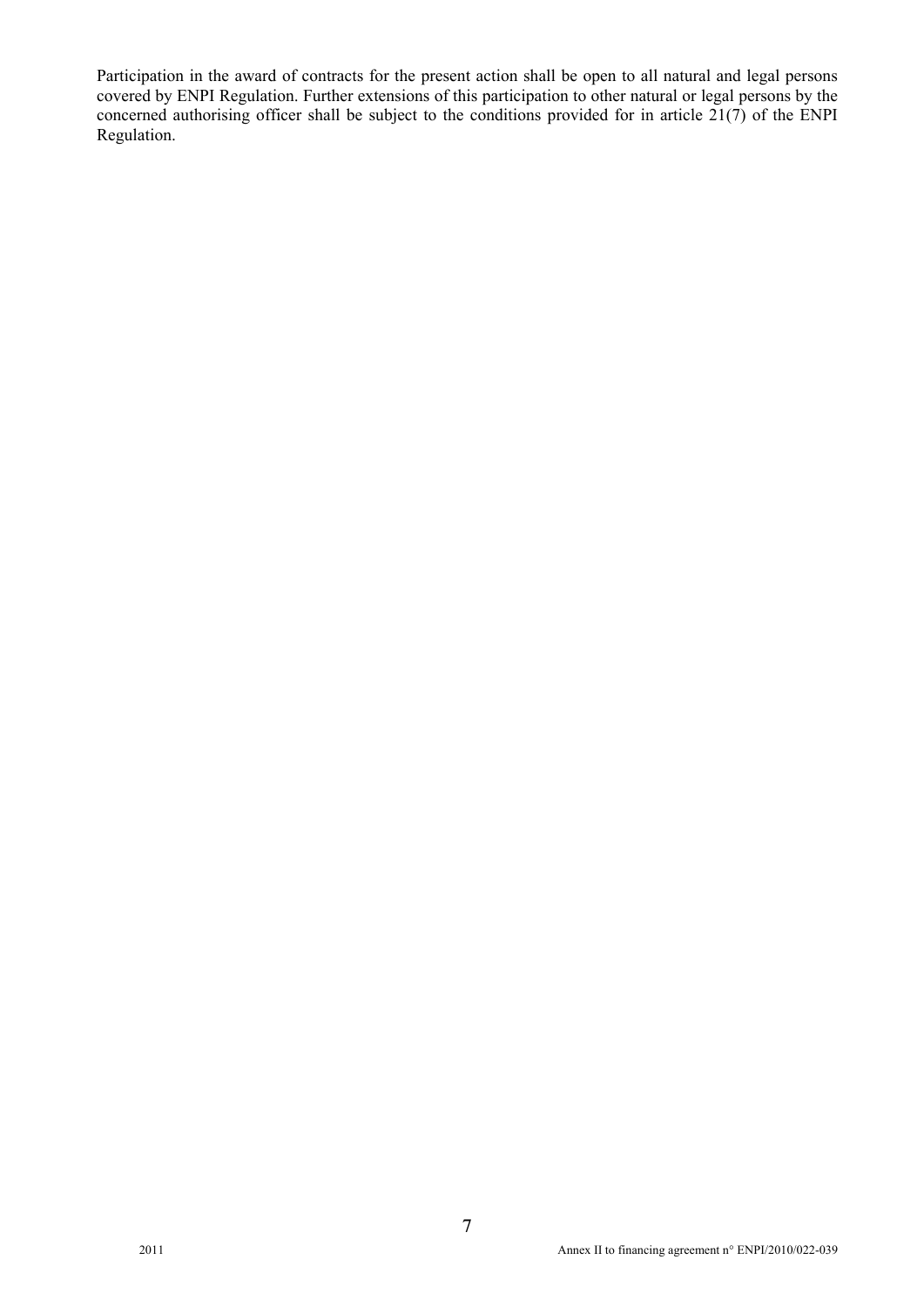Participation in the award of contracts for the present action shall be open to all natural and legal persons covered by ENPI Regulation. Further extensions of this participation to other natural or legal persons by the concerned authorising officer shall be subject to the conditions provided for in article  $21(7)$  of the ENPI Regulation.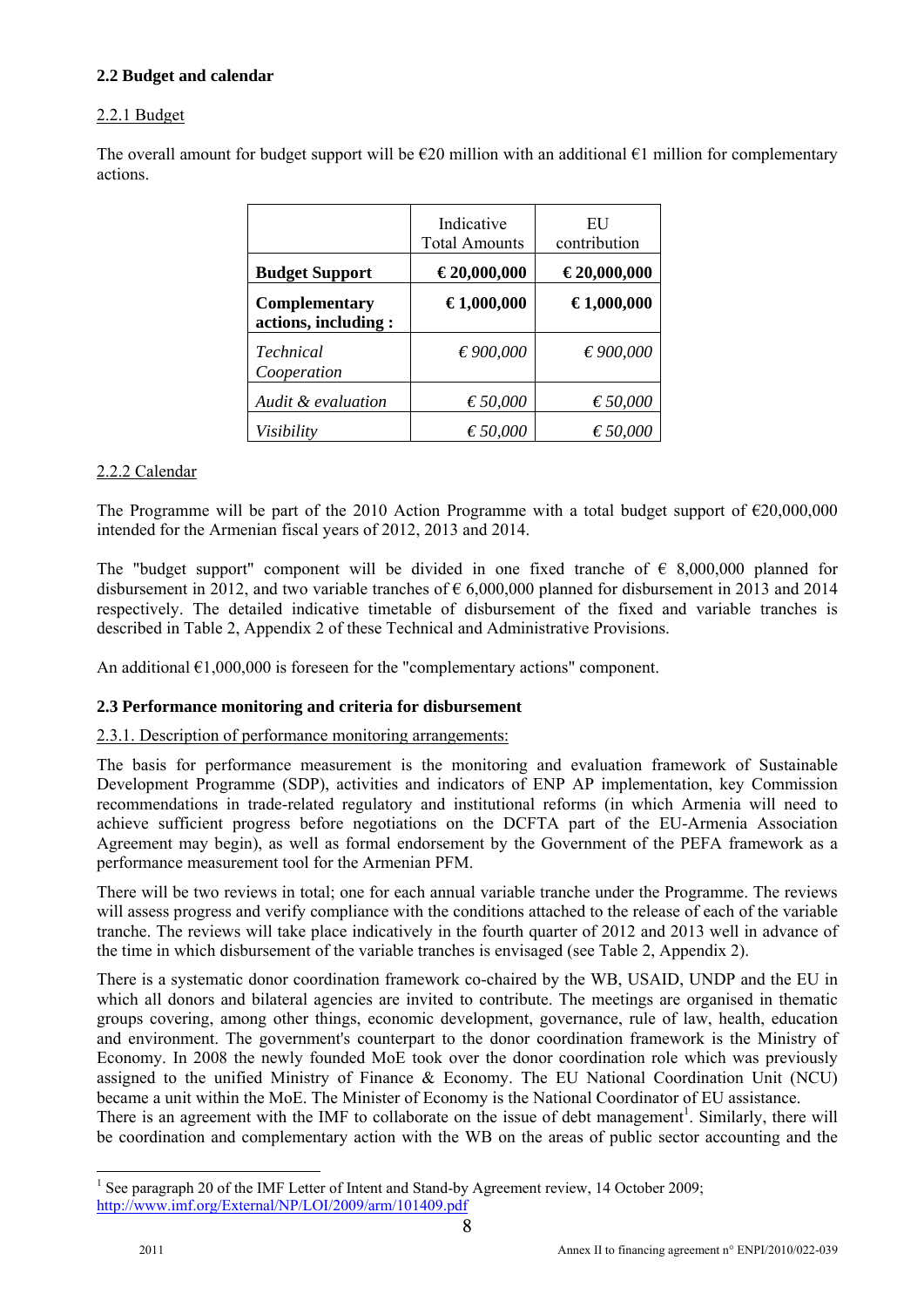## **2.2 Budget and calendar**

## 2.2.1 Budget

The overall amount for budget support will be  $\epsilon$ 20 million with an additional  $\epsilon$ 1 million for complementary actions.

|                                      | Indicative<br><b>Total Amounts</b> | EU<br>contribution |
|--------------------------------------|------------------------------------|--------------------|
| <b>Budget Support</b>                | €20,000,000                        | €20,000,000        |
| Complementary<br>actions, including: | €1,000,000                         | €1,000,000         |
| Technical<br>Cooperation             | € 900,000                          | € 900,000          |
| Audit & evaluation                   | € 50,000                           | € 50,000           |
| Visibility                           | $\epsilon$ 50,000                  | € 50,000           |

## 2.2.2 Calendar

The Programme will be part of the 2010 Action Programme with a total budget support of  $\epsilon$ 20,000,000 intended for the Armenian fiscal years of 2012, 2013 and 2014.

The "budget support" component will be divided in one fixed tranche of  $\epsilon$  8,000,000 planned for disbursement in 2012, and two variable tranches of  $\epsilon$  6,000,000 planned for disbursement in 2013 and 2014 respectively. The detailed indicative timetable of disbursement of the fixed and variable tranches is described in Table 2, Appendix 2 of these Technical and Administrative Provisions.

An additional  $\epsilon$ 1,000,000 is foreseen for the "complementary actions" component.

## **2.3 Performance monitoring and criteria for disbursement**

#### 2.3.1. Description of performance monitoring arrangements:

The basis for performance measurement is the monitoring and evaluation framework of Sustainable Development Programme (SDP), activities and indicators of ENP AP implementation, key Commission recommendations in trade-related regulatory and institutional reforms (in which Armenia will need to achieve sufficient progress before negotiations on the DCFTA part of the EU-Armenia Association Agreement may begin), as well as formal endorsement by the Government of the PEFA framework as a performance measurement tool for the Armenian PFM.

There will be two reviews in total; one for each annual variable tranche under the Programme. The reviews will assess progress and verify compliance with the conditions attached to the release of each of the variable tranche. The reviews will take place indicatively in the fourth quarter of 2012 and 2013 well in advance of the time in which disbursement of the variable tranches is envisaged (see Table 2, Appendix 2).

There is a systematic donor coordination framework co-chaired by the WB, USAID, UNDP and the EU in which all donors and bilateral agencies are invited to contribute. The meetings are organised in thematic groups covering, among other things, economic development, governance, rule of law, health, education and environment. The government's counterpart to the donor coordination framework is the Ministry of Economy. In 2008 the newly founded MoE took over the donor coordination role which was previously assigned to the unified Ministry of Finance & Economy. The EU National Coordination Unit (NCU) became a unit within the MoE. The Minister of Economy is the National Coordinator of EU assistance. There is an agreement with the IMF to collaborate on the issue of debt management<sup>1</sup>. Similarly, there will be coordination and complementary action with the WB on the areas of public sector accounting and the

<sup>&</sup>lt;sup>1</sup> See paragraph 20 of the IMF Letter of Intent and Stand-by Agreement review, 14 October 2009; http://www.imf.org/External/NP/LOI/2009/arm/101409.pdf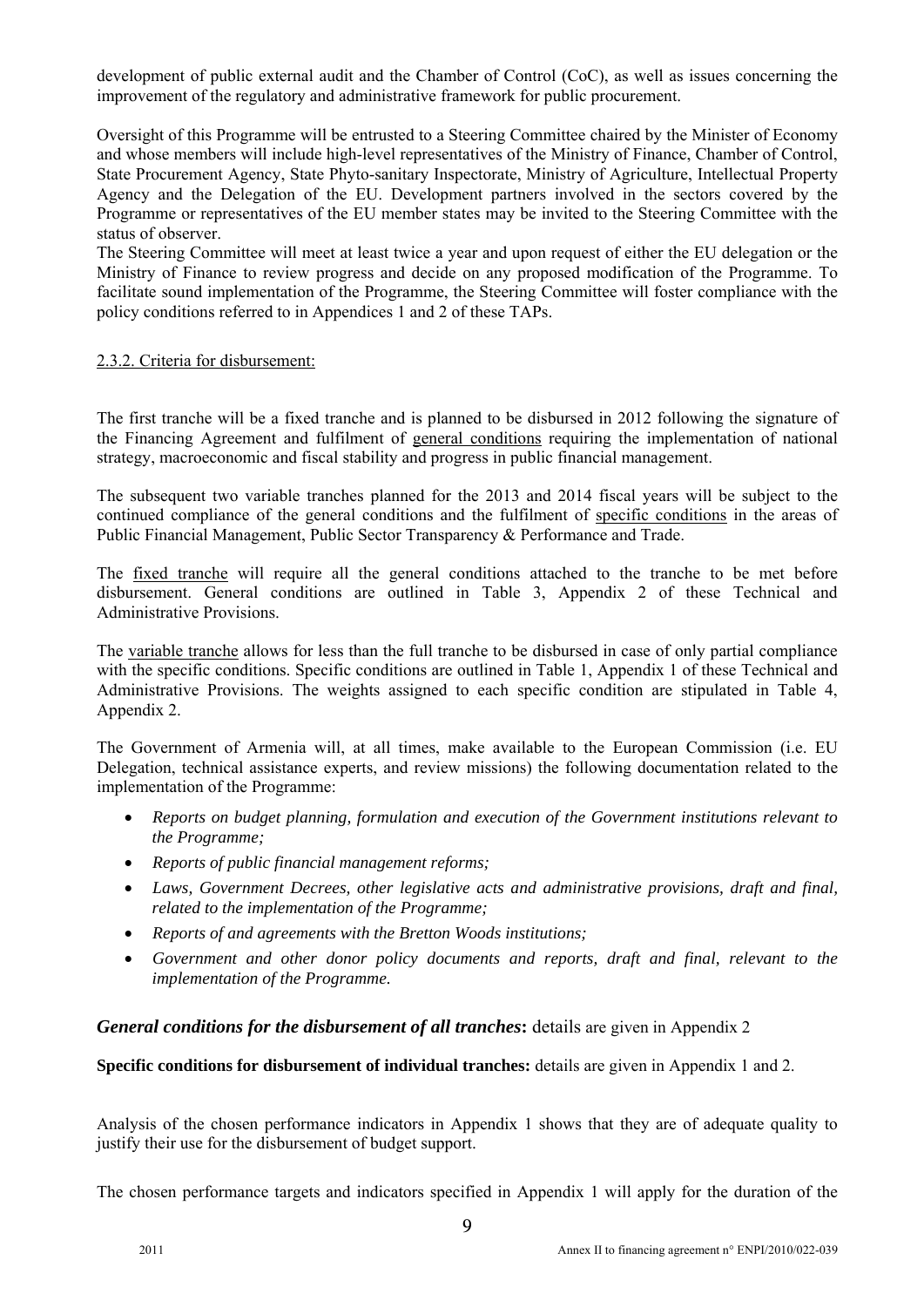development of public external audit and the Chamber of Control (CoC), as well as issues concerning the improvement of the regulatory and administrative framework for public procurement.

Oversight of this Programme will be entrusted to a Steering Committee chaired by the Minister of Economy and whose members will include high-level representatives of the Ministry of Finance, Chamber of Control, State Procurement Agency, State Phyto-sanitary Inspectorate, Ministry of Agriculture, Intellectual Property Agency and the Delegation of the EU. Development partners involved in the sectors covered by the Programme or representatives of the EU member states may be invited to the Steering Committee with the status of observer.

The Steering Committee will meet at least twice a year and upon request of either the EU delegation or the Ministry of Finance to review progress and decide on any proposed modification of the Programme. To facilitate sound implementation of the Programme, the Steering Committee will foster compliance with the policy conditions referred to in Appendices 1 and 2 of these TAPs.

#### 2.3.2. Criteria for disbursement:

The first tranche will be a fixed tranche and is planned to be disbursed in 2012 following the signature of the Financing Agreement and fulfilment of general conditions requiring the implementation of national strategy, macroeconomic and fiscal stability and progress in public financial management.

The subsequent two variable tranches planned for the 2013 and 2014 fiscal years will be subject to the continued compliance of the general conditions and the fulfilment of specific conditions in the areas of Public Financial Management, Public Sector Transparency & Performance and Trade.

The fixed tranche will require all the general conditions attached to the tranche to be met before disbursement. General conditions are outlined in Table 3, Appendix 2 of these Technical and Administrative Provisions.

The variable tranche allows for less than the full tranche to be disbursed in case of only partial compliance with the specific conditions. Specific conditions are outlined in Table 1, Appendix 1 of these Technical and Administrative Provisions. The weights assigned to each specific condition are stipulated in Table 4, Appendix 2.

The Government of Armenia will, at all times, make available to the European Commission (i.e. EU Delegation, technical assistance experts, and review missions) the following documentation related to the implementation of the Programme:

- *Reports on budget planning, formulation and execution of the Government institutions relevant to the Programme;*
- *Reports of public financial management reforms;*
- *Laws, Government Decrees, other legislative acts and administrative provisions, draft and final, related to the implementation of the Programme;*
- *Reports of and agreements with the Bretton Woods institutions;*
- *Government and other donor policy documents and reports, draft and final, relevant to the implementation of the Programme.*

*General conditions for the disbursement of all tranches***:** details are given in Appendix 2

**Specific conditions for disbursement of individual tranches:** details are given in Appendix 1 and 2.

Analysis of the chosen performance indicators in Appendix 1 shows that they are of adequate quality to justify their use for the disbursement of budget support.

The chosen performance targets and indicators specified in Appendix 1 will apply for the duration of the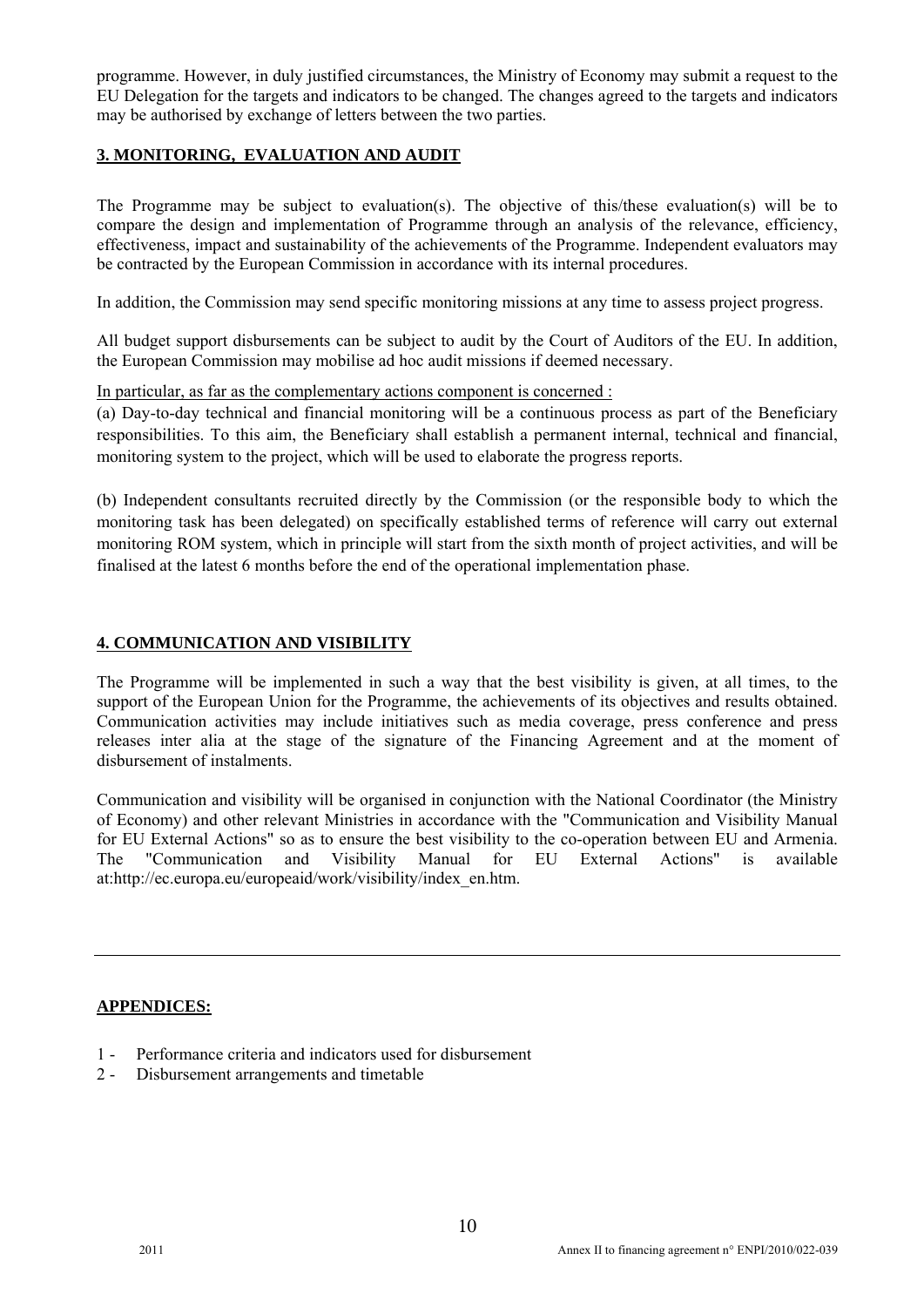programme. However, in duly justified circumstances, the Ministry of Economy may submit a request to the EU Delegation for the targets and indicators to be changed. The changes agreed to the targets and indicators may be authorised by exchange of letters between the two parties.

## **3. MONITORING, EVALUATION AND AUDIT**

The Programme may be subject to evaluation(s). The objective of this/these evaluation(s) will be to compare the design and implementation of Programme through an analysis of the relevance, efficiency, effectiveness, impact and sustainability of the achievements of the Programme. Independent evaluators may be contracted by the European Commission in accordance with its internal procedures.

In addition, the Commission may send specific monitoring missions at any time to assess project progress.

All budget support disbursements can be subject to audit by the Court of Auditors of the EU. In addition, the European Commission may mobilise ad hoc audit missions if deemed necessary.

In particular, as far as the complementary actions component is concerned :

(a) Day-to-day technical and financial monitoring will be a continuous process as part of the Beneficiary responsibilities. To this aim, the Beneficiary shall establish a permanent internal, technical and financial, monitoring system to the project, which will be used to elaborate the progress reports.

(b) Independent consultants recruited directly by the Commission (or the responsible body to which the monitoring task has been delegated) on specifically established terms of reference will carry out external monitoring ROM system, which in principle will start from the sixth month of project activities, and will be finalised at the latest 6 months before the end of the operational implementation phase.

## **4. COMMUNICATION AND VISIBILITY**

The Programme will be implemented in such a way that the best visibility is given, at all times, to the support of the European Union for the Programme, the achievements of its objectives and results obtained. Communication activities may include initiatives such as media coverage, press conference and press releases inter alia at the stage of the signature of the Financing Agreement and at the moment of disbursement of instalments.

Communication and visibility will be organised in conjunction with the National Coordinator (the Ministry of Economy) and other relevant Ministries in accordance with the "Communication and Visibility Manual for EU External Actions" so as to ensure the best visibility to the co-operation between EU and Armenia. The "Communication and Visibility Manual for EU External Actions" is available at:http://ec.europa.eu/europeaid/work/visibility/index\_en.htm.

#### **APPENDICES:**

- 1 Performance criteria and indicators used for disbursement
- 2 Disbursement arrangements and timetable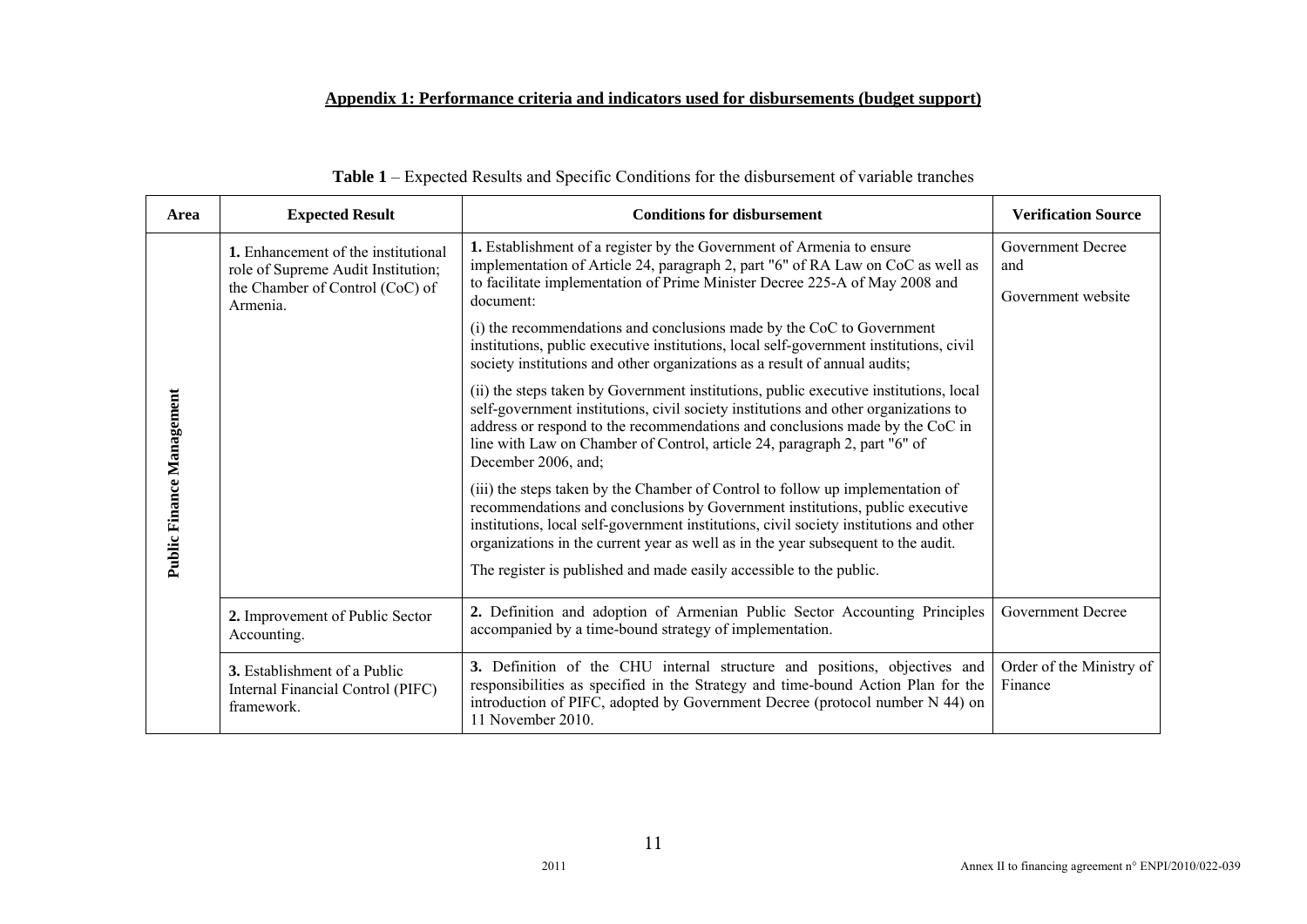## **Appendix 1: Performance criteria and indicators used for disbursements (budget support)**

| Area                      | <b>Expected Result</b>                                                                                                   | <b>Conditions for disbursement</b>                                                                                                                                                                                                                                                                                                                                                                                   | <b>Verification Source</b>                            |
|---------------------------|--------------------------------------------------------------------------------------------------------------------------|----------------------------------------------------------------------------------------------------------------------------------------------------------------------------------------------------------------------------------------------------------------------------------------------------------------------------------------------------------------------------------------------------------------------|-------------------------------------------------------|
|                           | 1. Enhancement of the institutional<br>role of Supreme Audit Institution;<br>the Chamber of Control (CoC) of<br>Armenia. | 1. Establishment of a register by the Government of Armenia to ensure<br>implementation of Article 24, paragraph 2, part "6" of RA Law on CoC as well as<br>to facilitate implementation of Prime Minister Decree 225-A of May 2008 and<br>document:                                                                                                                                                                 | <b>Government Decree</b><br>and<br>Government website |
|                           |                                                                                                                          | (i) the recommendations and conclusions made by the CoC to Government<br>institutions, public executive institutions, local self-government institutions, civil<br>society institutions and other organizations as a result of annual audits;                                                                                                                                                                        |                                                       |
|                           |                                                                                                                          | (ii) the steps taken by Government institutions, public executive institutions, local<br>self-government institutions, civil society institutions and other organizations to<br>address or respond to the recommendations and conclusions made by the CoC in<br>line with Law on Chamber of Control, article 24, paragraph 2, part "6" of<br>December 2006, and;                                                     |                                                       |
| Public Finance Management |                                                                                                                          | (iii) the steps taken by the Chamber of Control to follow up implementation of<br>recommendations and conclusions by Government institutions, public executive<br>institutions, local self-government institutions, civil society institutions and other<br>organizations in the current year as well as in the year subsequent to the audit.<br>The register is published and made easily accessible to the public. |                                                       |
|                           | 2. Improvement of Public Sector<br>Accounting.                                                                           | 2. Definition and adoption of Armenian Public Sector Accounting Principles<br>accompanied by a time-bound strategy of implementation.                                                                                                                                                                                                                                                                                | Government Decree                                     |
|                           | <b>3.</b> Establishment of a Public<br>Internal Financial Control (PIFC)<br>framework.                                   | 3. Definition of the CHU internal structure and positions, objectives and<br>responsibilities as specified in the Strategy and time-bound Action Plan for the<br>introduction of PIFC, adopted by Government Decree (protocol number N 44) on<br>11 November 2010.                                                                                                                                                   | Order of the Ministry of<br>Finance                   |

| <b>Table 1</b> – Expected Results and Specific Conditions for the disbursement of variable tranches |  |
|-----------------------------------------------------------------------------------------------------|--|
|-----------------------------------------------------------------------------------------------------|--|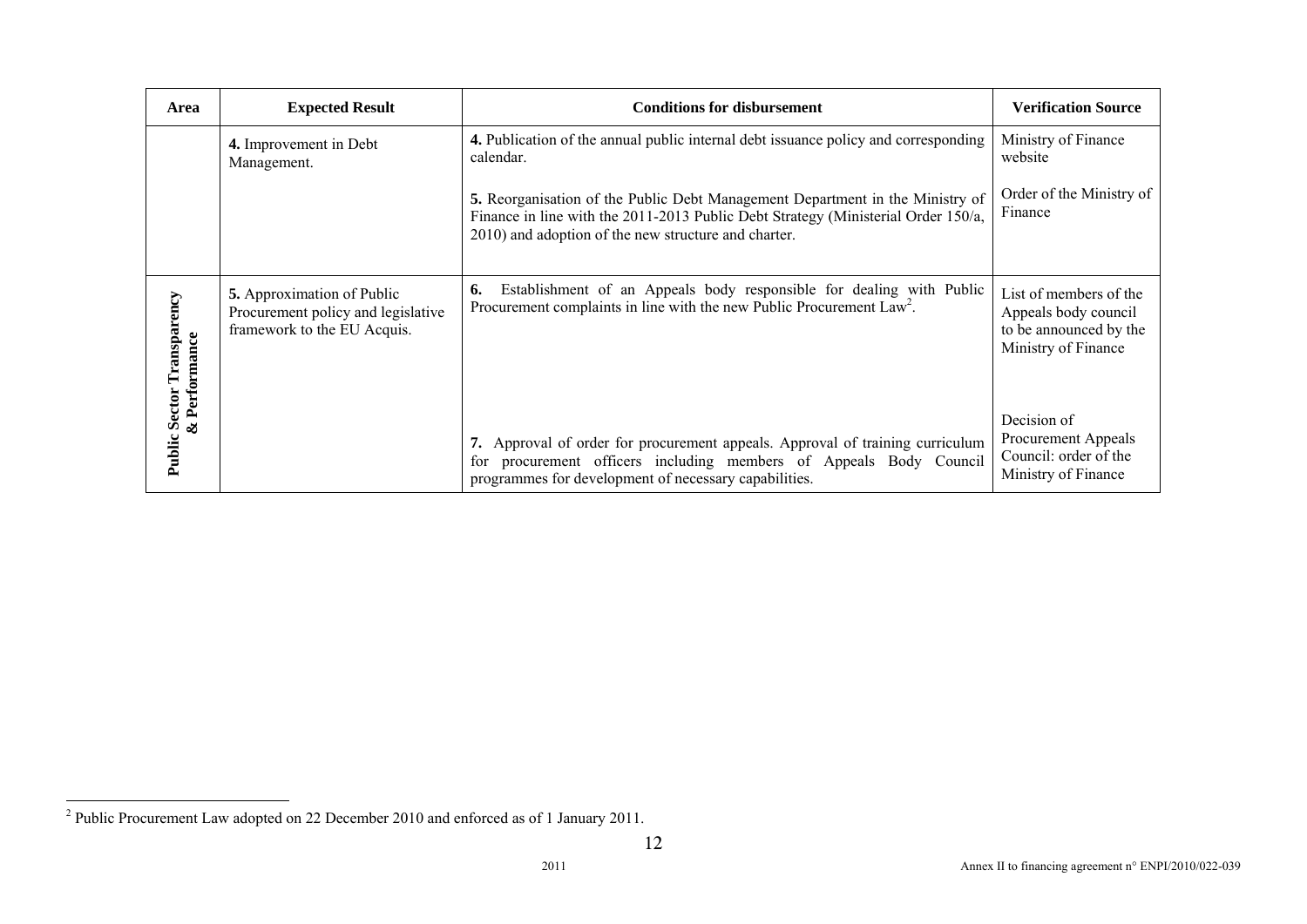| Area                                                   | <b>Expected Result</b>                                                                                 | <b>Conditions for disbursement</b>                                                                                                                                                                                         | <b>Verification Source</b>                                                                      |
|--------------------------------------------------------|--------------------------------------------------------------------------------------------------------|----------------------------------------------------------------------------------------------------------------------------------------------------------------------------------------------------------------------------|-------------------------------------------------------------------------------------------------|
|                                                        | 4. Improvement in Debt<br>Management.                                                                  | 4. Publication of the annual public internal debt issuance policy and corresponding<br>calendar.                                                                                                                           | Ministry of Finance<br>website                                                                  |
|                                                        |                                                                                                        | 5. Reorganisation of the Public Debt Management Department in the Ministry of<br>Finance in line with the 2011-2013 Public Debt Strategy (Ministerial Order 150/a,<br>2010) and adoption of the new structure and charter. | Order of the Ministry of<br>Finance                                                             |
| 5<br><b>Public Sector Transpareno</b><br>& Performance | <b>5.</b> Approximation of Public<br>Procurement policy and legislative<br>framework to the EU Acquis. | Establishment of an Appeals body responsible for dealing with Public<br>6.<br>Procurement complaints in line with the new Public Procurement Law <sup>2</sup> .                                                            | List of members of the<br>Appeals body council<br>to be announced by the<br>Ministry of Finance |
|                                                        |                                                                                                        | 7. Approval of order for procurement appeals. Approval of training curriculum<br>procurement officers including members of Appeals Body Council<br>for<br>programmes for development of necessary capabilities.            | Decision of<br>Procurement Appeals<br>Council: order of the<br>Ministry of Finance              |

<sup>2</sup> Public Procurement Law adopted on 22 December 2010 and enforced as of 1 January 2011.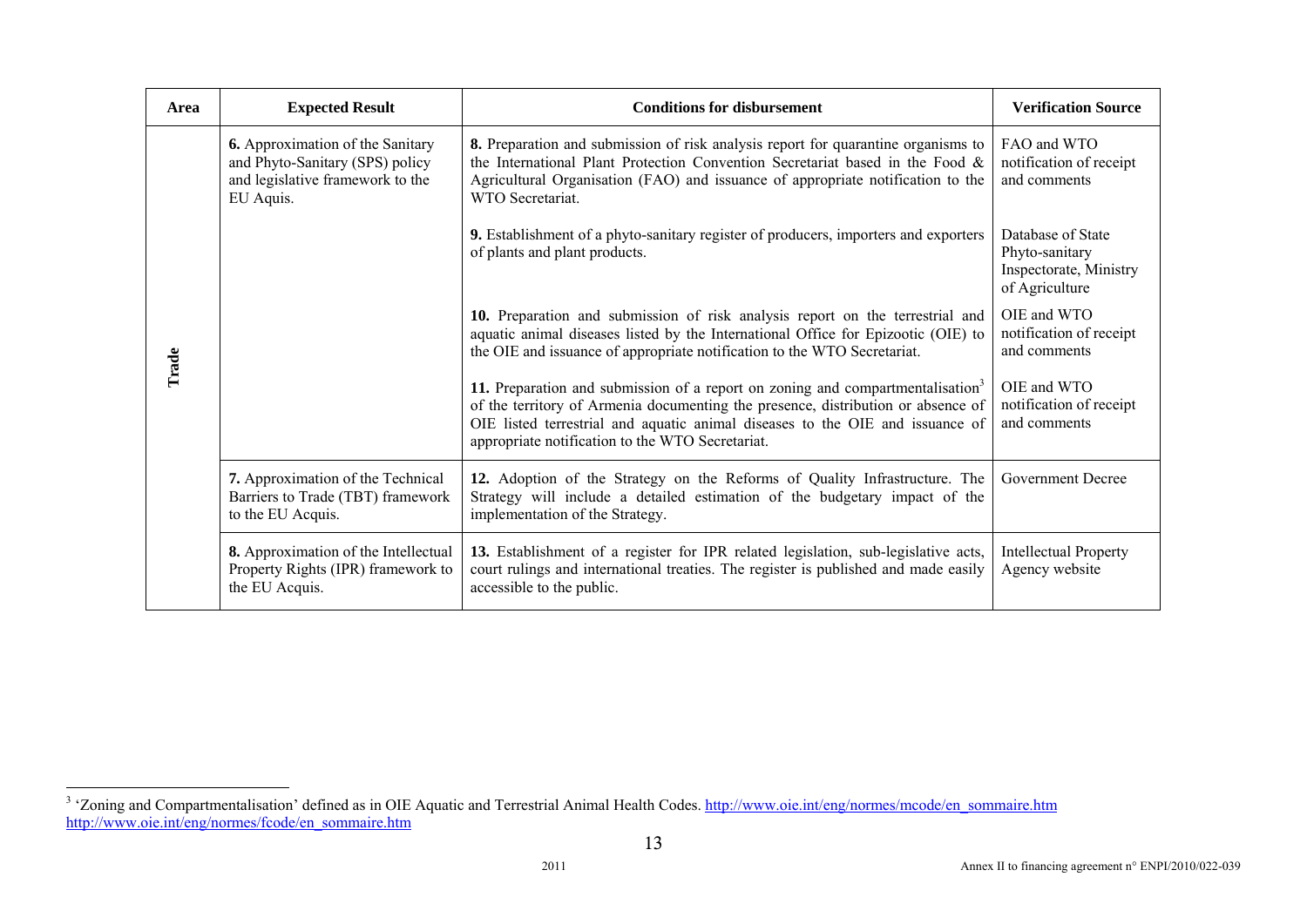| Area  | <b>Expected Result</b>                                                                                                      | <b>Conditions for disbursement</b>                                                                                                                                                                                                                                                                                  | <b>Verification Source</b>                                                      |
|-------|-----------------------------------------------------------------------------------------------------------------------------|---------------------------------------------------------------------------------------------------------------------------------------------------------------------------------------------------------------------------------------------------------------------------------------------------------------------|---------------------------------------------------------------------------------|
|       | <b>6.</b> Approximation of the Sanitary<br>and Phyto-Sanitary (SPS) policy<br>and legislative framework to the<br>EU Aquis. | 8. Preparation and submission of risk analysis report for quarantine organisms to<br>the International Plant Protection Convention Secretariat based in the Food &<br>Agricultural Organisation (FAO) and issuance of appropriate notification to the<br>WTO Secretariat.                                           | FAO and WTO<br>notification of receipt<br>and comments                          |
|       |                                                                                                                             | 9. Establishment of a phyto-sanitary register of producers, importers and exporters<br>of plants and plant products.                                                                                                                                                                                                | Database of State<br>Phyto-sanitary<br>Inspectorate, Ministry<br>of Agriculture |
| Trade |                                                                                                                             | 10. Preparation and submission of risk analysis report on the terrestrial and<br>aquatic animal diseases listed by the International Office for Epizootic (OIE) to<br>the OIE and issuance of appropriate notification to the WTO Secretariat.                                                                      | OIE and WTO<br>notification of receipt<br>and comments                          |
|       |                                                                                                                             | 11. Preparation and submission of a report on zoning and compartmentalisation <sup>3</sup><br>of the territory of Armenia documenting the presence, distribution or absence of<br>OIE listed terrestrial and aquatic animal diseases to the OIE and issuance of<br>appropriate notification to the WTO Secretariat. | OIE and WTO<br>notification of receipt<br>and comments                          |
|       | 7. Approximation of the Technical<br>Barriers to Trade (TBT) framework<br>to the EU Acquis.                                 | 12. Adoption of the Strategy on the Reforms of Quality Infrastructure. The<br>Strategy will include a detailed estimation of the budgetary impact of the<br>implementation of the Strategy.                                                                                                                         | <b>Government Decree</b>                                                        |
|       | 8. Approximation of the Intellectual<br>Property Rights (IPR) framework to<br>the EU Acquis.                                | 13. Establishment of a register for IPR related legislation, sub-legislative acts,<br>court rulings and international treaties. The register is published and made easily<br>accessible to the public.                                                                                                              | <b>Intellectual Property</b><br>Agency website                                  |

<sup>&</sup>lt;sup>3</sup> 'Zoning and Compartmentalisation' defined as in OIE Aquatic and Terrestrial Animal Health Codes. http://www.oie.int/eng/normes/mcode/en\_sommaire.htm http://www.oie.int/eng/normes/fcode/en\_sommaire.htm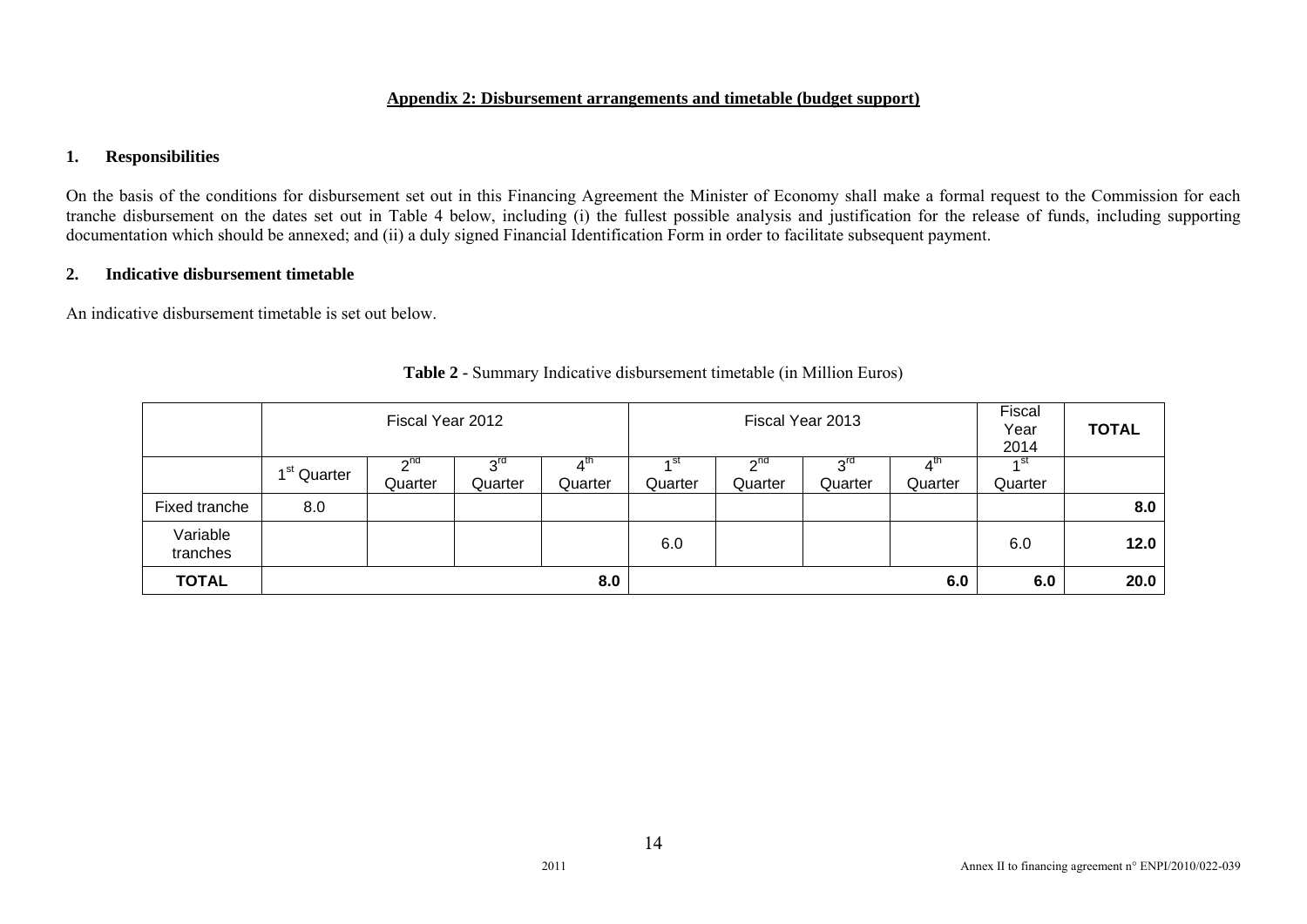#### **Appendix 2: Disbursement arrangements and timetable (budget support)**

#### **1. Responsibilities**

On the basis of the conditions for disbursement set out in this Financing Agreement the Minister of Economy shall make a formal request to the Commission for each tranche disbursement on the dates set out in Table 4 below, including (i) the fullest possible analysis and justification for the release of funds, including supporting documentation which should be annexed; and (ii) a duly signed Financial Identification Form in order to facilitate subsequent payment.

## **2. Indicative disbursement timetable**

An indicative disbursement timetable is set out below.

|                      |                         |                                   | Fiscal Year 2012<br>Fiscal Year 2013 |                |         |                                 | Fiscal<br>Year<br>2014 | <b>TOTAL</b> |                 |      |
|----------------------|-------------------------|-----------------------------------|--------------------------------------|----------------|---------|---------------------------------|------------------------|--------------|-----------------|------|
|                      | 1 <sup>st</sup> Quarter | $\gamma$ <sup>nd</sup><br>Quarter | $\sim$ rd<br>Quarter                 | ∡th<br>Quarter | Quarter | $\sim$ <sup>nd</sup><br>Quarter | $3^{rd}$<br>Quarter    | Quarter      | ⊿ st<br>Quarter |      |
| Fixed tranche        | 8.0                     |                                   |                                      |                |         |                                 |                        |              |                 | 8.0  |
| Variable<br>tranches |                         |                                   |                                      |                | 6.0     |                                 |                        |              | 6.0             | 12.0 |
| <b>TOTAL</b>         |                         |                                   |                                      | 8.0            |         |                                 |                        | 6.0          | 6.0             | 20.0 |

|  | <b>Table 2 - Summary Indicative disbursement timetable (in Million Euros)</b> |  |  |
|--|-------------------------------------------------------------------------------|--|--|
|--|-------------------------------------------------------------------------------|--|--|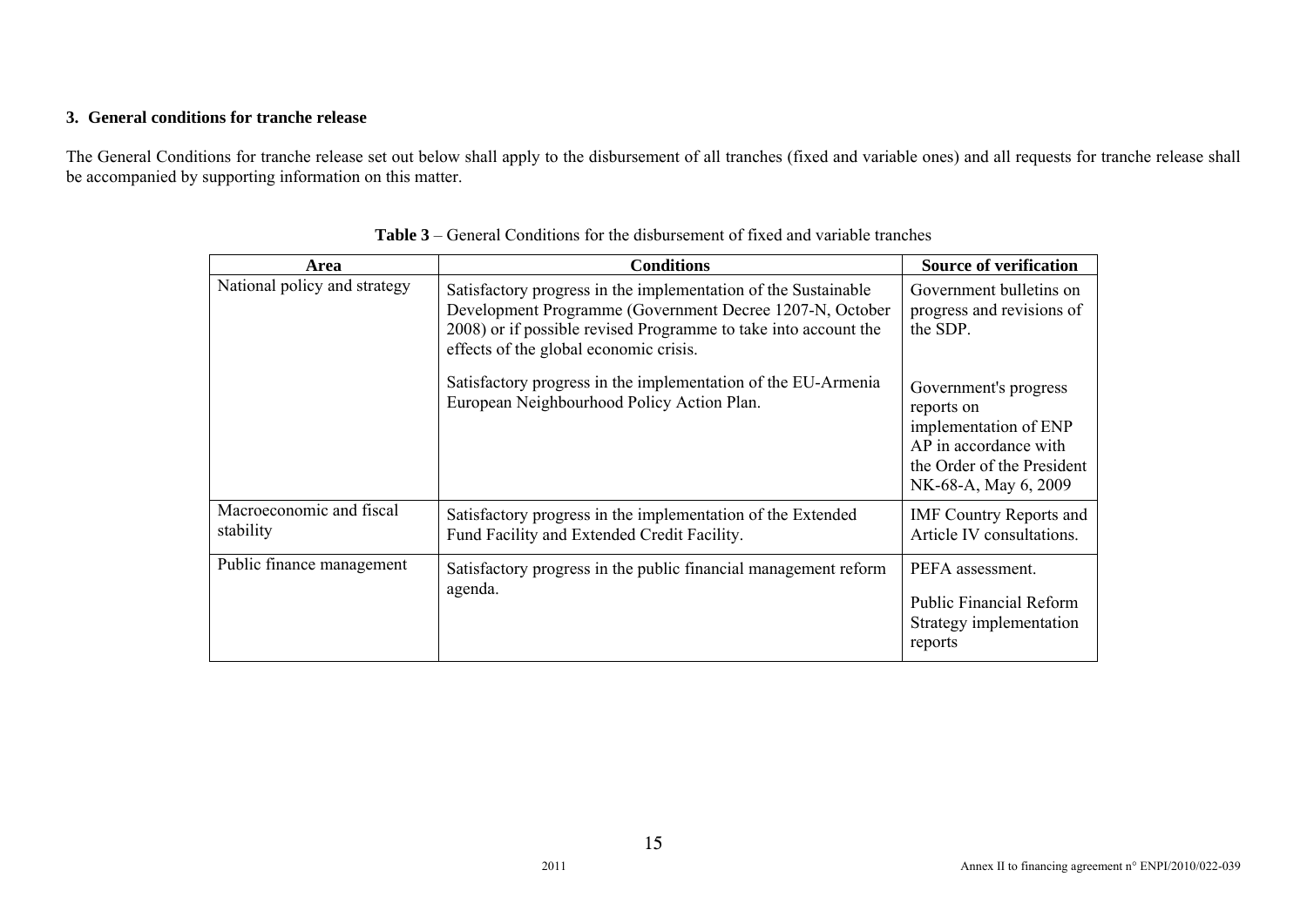#### **3. General conditions for tranche release**

The General Conditions for tranche release set out below shall apply to the disbursement of all tranches (fixed and variable ones) and all requests for tranche release shall be accompanied by supporting information on this matter.

| Area                                  | <b>Conditions</b>                                                                                                                                                                                                                       | <b>Source of verification</b>                                                                                                               |
|---------------------------------------|-----------------------------------------------------------------------------------------------------------------------------------------------------------------------------------------------------------------------------------------|---------------------------------------------------------------------------------------------------------------------------------------------|
| National policy and strategy          | Satisfactory progress in the implementation of the Sustainable<br>Development Programme (Government Decree 1207-N, October<br>2008) or if possible revised Programme to take into account the<br>effects of the global economic crisis. | Government bulletins on<br>progress and revisions of<br>the SDP.                                                                            |
|                                       | Satisfactory progress in the implementation of the EU-Armenia<br>European Neighbourhood Policy Action Plan.                                                                                                                             | Government's progress<br>reports on<br>implementation of ENP<br>AP in accordance with<br>the Order of the President<br>NK-68-A, May 6, 2009 |
| Macroeconomic and fiscal<br>stability | Satisfactory progress in the implementation of the Extended<br>Fund Facility and Extended Credit Facility.                                                                                                                              | <b>IMF Country Reports and</b><br>Article IV consultations.                                                                                 |
| Public finance management             | Satisfactory progress in the public financial management reform<br>agenda.                                                                                                                                                              | PEFA assessment.<br><b>Public Financial Reform</b><br>Strategy implementation<br>reports                                                    |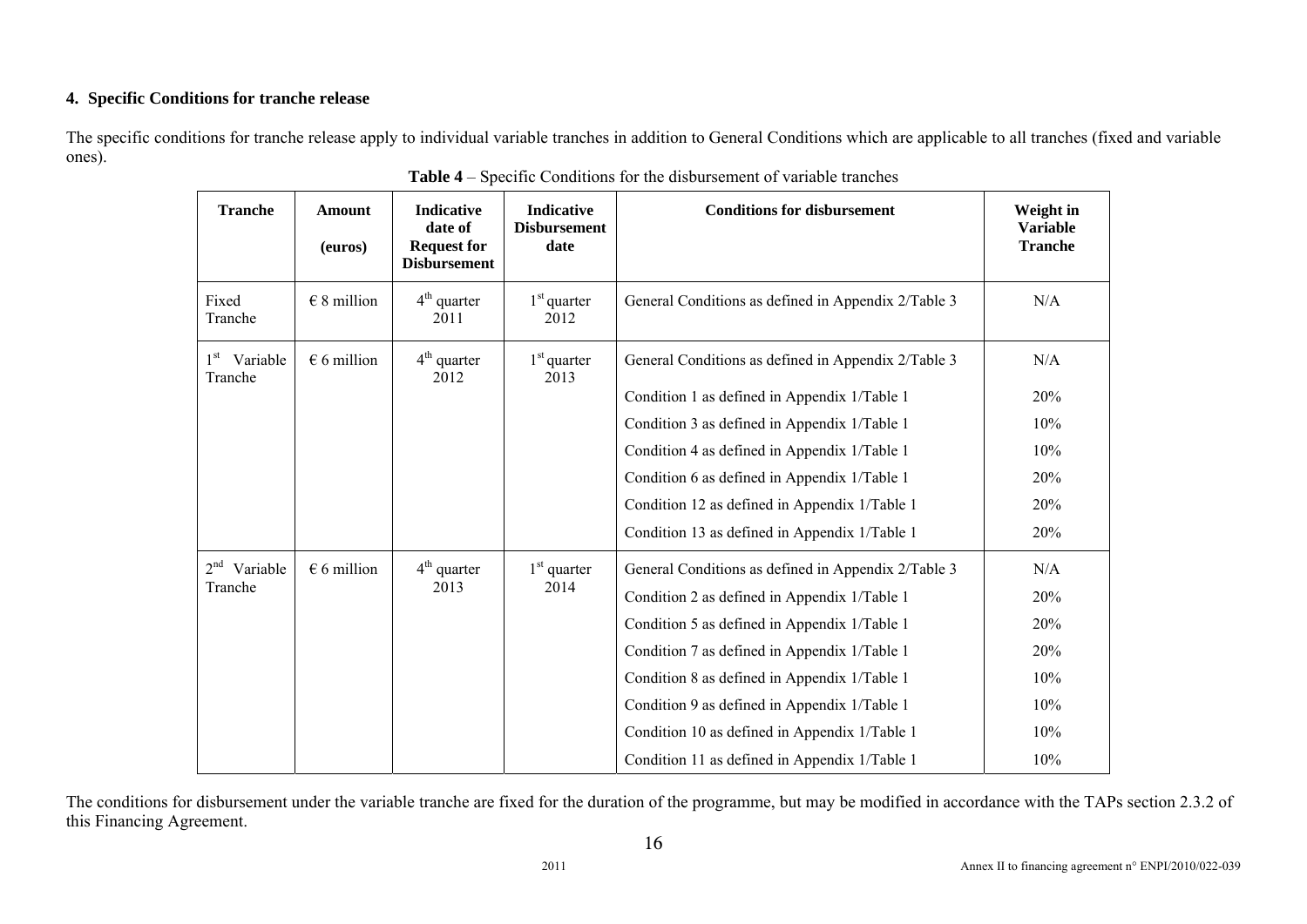## **4. Specific Conditions for tranche release**

The specific conditions for tranche release apply to individual variable tranches in addition to General Conditions which are applicable to all tranches (fixed and variable ones).

| <b>Tranche</b>                      | <b>Amount</b><br>(euros) | <b>Indicative</b><br>date of<br><b>Request for</b><br><b>Disbursement</b> | <b>Indicative</b><br><b>Disbursement</b><br>date | <b>Conditions for disbursement</b>                  | Weight in<br><b>Variable</b><br><b>Tranche</b> |
|-------------------------------------|--------------------------|---------------------------------------------------------------------------|--------------------------------------------------|-----------------------------------------------------|------------------------------------------------|
| Fixed<br>Tranche                    | $\in$ 8 million          | $4th$ quarter<br>2011                                                     | $1st$ quarter<br>2012                            | General Conditions as defined in Appendix 2/Table 3 | N/A                                            |
| 1 <sup>st</sup> Variable<br>Tranche | $\epsilon$ 6 million     | $4th$ quarter<br>2012                                                     | $1st$ quarter<br>2013                            | General Conditions as defined in Appendix 2/Table 3 | N/A                                            |
|                                     |                          |                                                                           |                                                  | Condition 1 as defined in Appendix 1/Table 1        | 20%                                            |
|                                     |                          |                                                                           |                                                  | Condition 3 as defined in Appendix 1/Table 1        | 10%                                            |
|                                     |                          |                                                                           |                                                  | Condition 4 as defined in Appendix 1/Table 1        | 10%                                            |
|                                     |                          |                                                                           |                                                  | Condition 6 as defined in Appendix 1/Table 1        | 20%                                            |
|                                     |                          |                                                                           |                                                  | Condition 12 as defined in Appendix 1/Table 1       | 20%                                            |
|                                     |                          |                                                                           |                                                  | Condition 13 as defined in Appendix 1/Table 1       | 20%                                            |
| $2nd$ Variable                      | $\epsilon$ 6 million     | $4th$ quarter                                                             | $1st$ quarter                                    | General Conditions as defined in Appendix 2/Table 3 | N/A                                            |
| Tranche                             |                          | 2013                                                                      | 2014                                             | Condition 2 as defined in Appendix 1/Table 1        | 20%                                            |
|                                     |                          |                                                                           |                                                  | Condition 5 as defined in Appendix 1/Table 1        | 20%                                            |
|                                     |                          |                                                                           |                                                  | Condition 7 as defined in Appendix 1/Table 1        | 20%                                            |
|                                     |                          |                                                                           |                                                  | Condition 8 as defined in Appendix 1/Table 1        | 10%                                            |
|                                     |                          |                                                                           |                                                  | Condition 9 as defined in Appendix 1/Table 1        | 10%                                            |
|                                     |                          |                                                                           |                                                  | Condition 10 as defined in Appendix 1/Table 1       | 10%                                            |
|                                     |                          |                                                                           |                                                  | Condition 11 as defined in Appendix 1/Table 1       | 10%                                            |

**Table 4** – Specific Conditions for the disbursement of variable tranches

The conditions for disbursement under the variable tranche are fixed for the duration of the programme, but may be modified in accordance with the TAPs section 2.3.2 of this Financing Agreement.